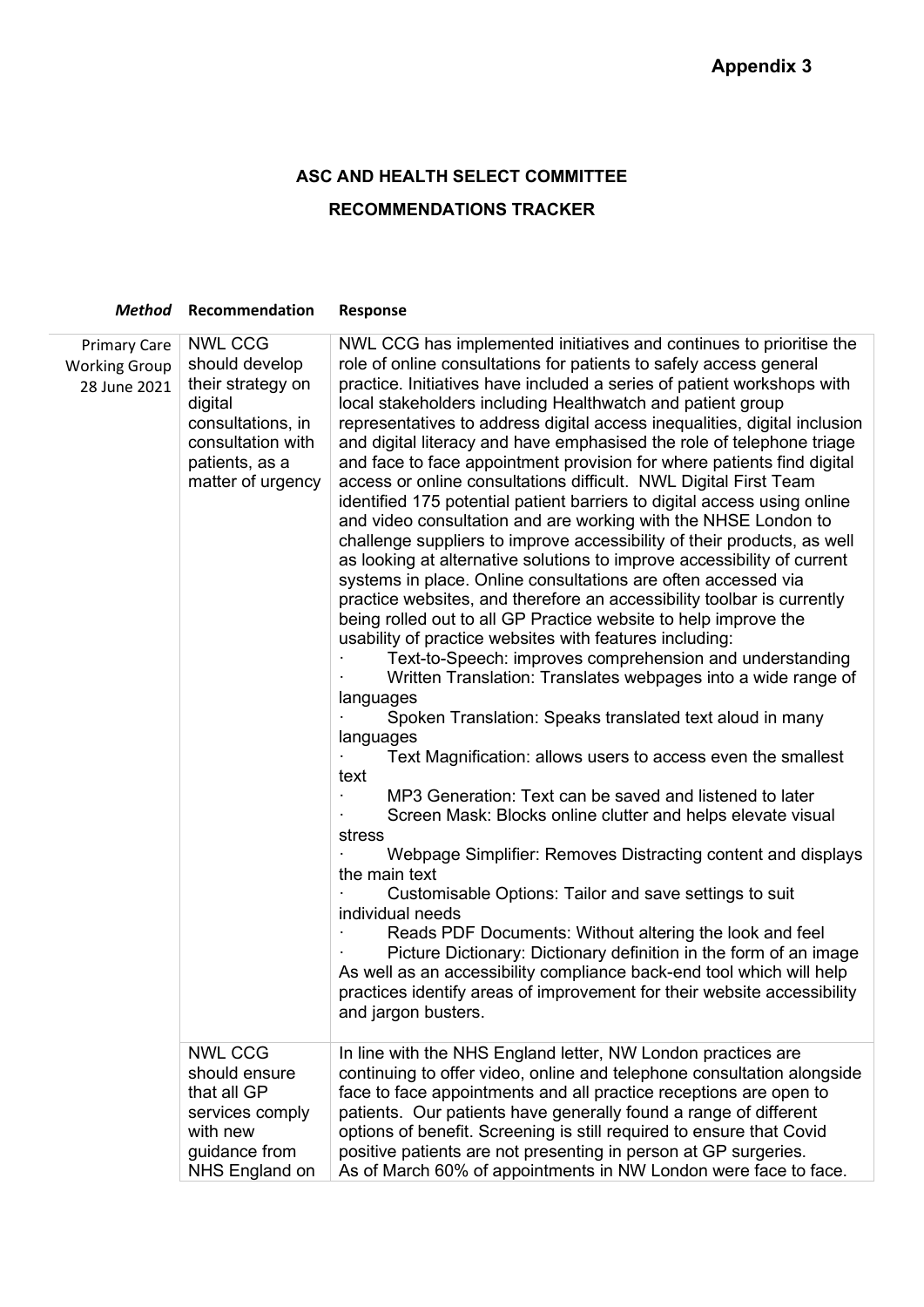## **ASC AND HEALTH SELECT COMMITTEE**

## **RECOMMENDATIONS TRACKER**

|                                                             | <b>Method</b> Recommendation                                                                                                                      | <b>Response</b>                                                                                                                                                                                                                                                                                                                                                                                                                                                                                                                                                                                                                                                                                                                                                                                                                                                                                                                                                                                                                                                                                                                                                                                                                                                                                                                                                                                                                                                                                                                                                                                                                                                                                                                                                                                                                                                                                                                                                                                                                                                            |
|-------------------------------------------------------------|---------------------------------------------------------------------------------------------------------------------------------------------------|----------------------------------------------------------------------------------------------------------------------------------------------------------------------------------------------------------------------------------------------------------------------------------------------------------------------------------------------------------------------------------------------------------------------------------------------------------------------------------------------------------------------------------------------------------------------------------------------------------------------------------------------------------------------------------------------------------------------------------------------------------------------------------------------------------------------------------------------------------------------------------------------------------------------------------------------------------------------------------------------------------------------------------------------------------------------------------------------------------------------------------------------------------------------------------------------------------------------------------------------------------------------------------------------------------------------------------------------------------------------------------------------------------------------------------------------------------------------------------------------------------------------------------------------------------------------------------------------------------------------------------------------------------------------------------------------------------------------------------------------------------------------------------------------------------------------------------------------------------------------------------------------------------------------------------------------------------------------------------------------------------------------------------------------------------------------------|
| <b>Primary Care</b><br><b>Working Group</b><br>28 June 2021 | <b>NWL CCG</b><br>should develop<br>their strategy on<br>digital<br>consultations, in<br>consultation with<br>patients, as a<br>matter of urgency | NWL CCG has implemented initiatives and continues to prioritise the<br>role of online consultations for patients to safely access general<br>practice. Initiatives have included a series of patient workshops with<br>local stakeholders including Healthwatch and patient group<br>representatives to address digital access inequalities, digital inclusion<br>and digital literacy and have emphasised the role of telephone triage<br>and face to face appointment provision for where patients find digital<br>access or online consultations difficult. NWL Digital First Team<br>identified 175 potential patient barriers to digital access using online<br>and video consultation and are working with the NHSE London to<br>challenge suppliers to improve accessibility of their products, as well<br>as looking at alternative solutions to improve accessibility of current<br>systems in place. Online consultations are often accessed via<br>practice websites, and therefore an accessibility toolbar is currently<br>being rolled out to all GP Practice website to help improve the<br>usability of practice websites with features including:<br>Text-to-Speech: improves comprehension and understanding<br>Written Translation: Translates webpages into a wide range of<br>languages<br>Spoken Translation: Speaks translated text aloud in many<br>languages<br>Text Magnification: allows users to access even the smallest<br>text<br>MP3 Generation: Text can be saved and listened to later<br>Screen Mask: Blocks online clutter and helps elevate visual<br>stress<br>Webpage Simplifier: Removes Distracting content and displays<br>the main text<br>Customisable Options: Tailor and save settings to suit<br>individual needs<br>Reads PDF Documents: Without altering the look and feel<br>Picture Dictionary: Dictionary definition in the form of an image<br>As well as an accessibility compliance back-end tool which will help<br>practices identify areas of improvement for their website accessibility<br>and jargon busters. |
|                                                             | <b>NWL CCG</b><br>should ensure<br>that all GP<br>services comply<br>with new<br>guidance from<br>NHS England on                                  | In line with the NHS England letter, NW London practices are<br>continuing to offer video, online and telephone consultation alongside<br>face to face appointments and all practice receptions are open to<br>patients. Our patients have generally found a range of different<br>options of benefit. Screening is still required to ensure that Covid<br>positive patients are not presenting in person at GP surgeries.<br>As of March 60% of appointments in NW London were face to face.                                                                                                                                                                                                                                                                                                                                                                                                                                                                                                                                                                                                                                                                                                                                                                                                                                                                                                                                                                                                                                                                                                                                                                                                                                                                                                                                                                                                                                                                                                                                                                              |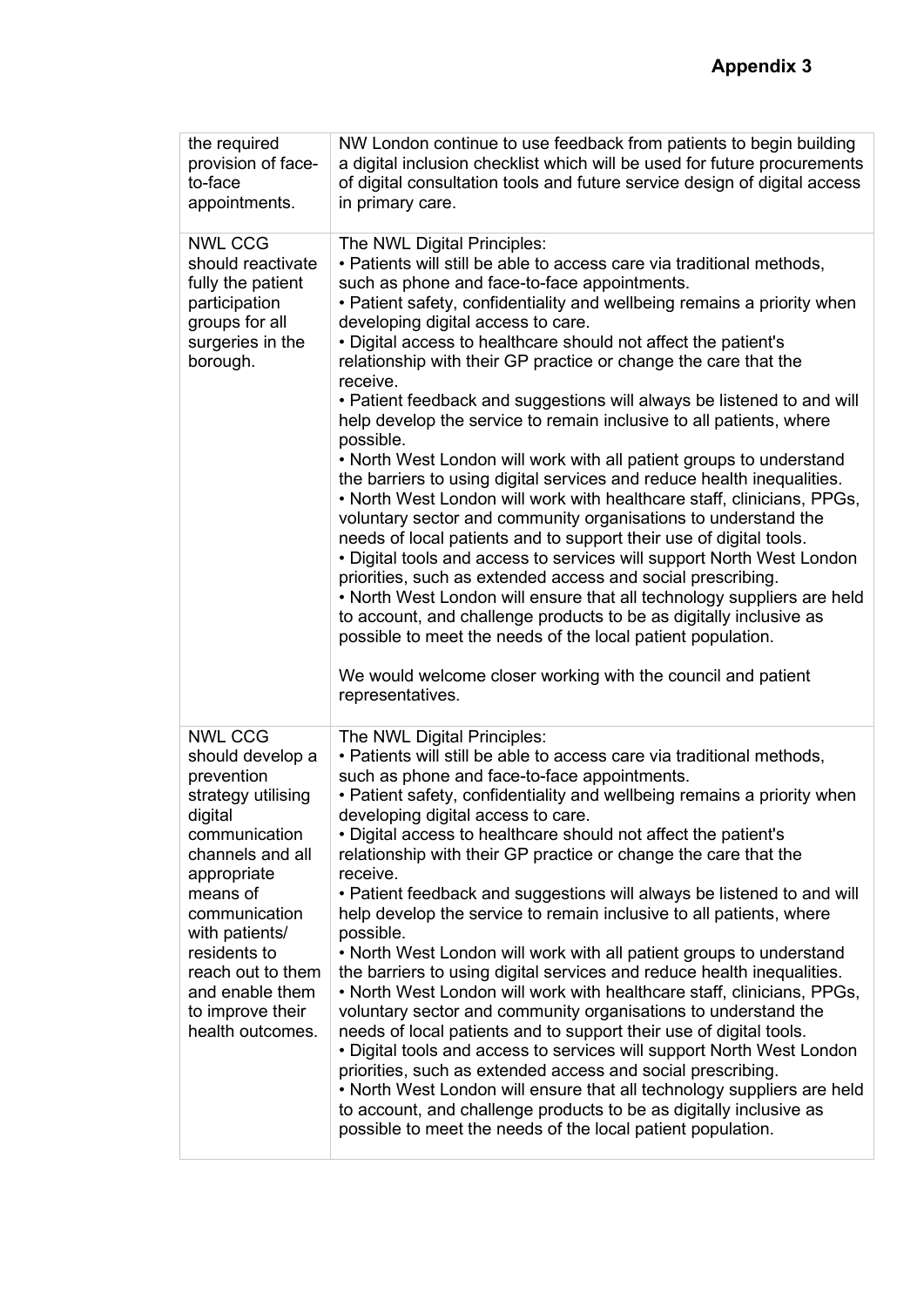| the required<br>provision of face-<br>to-face<br>appointments.                                                                                                                                                                                                                       | NW London continue to use feedback from patients to begin building<br>a digital inclusion checklist which will be used for future procurements<br>of digital consultation tools and future service design of digital access<br>in primary care.                                                                                                                                                                                                                                                                                                                                                                                                                                                                                                                                                                                                                                                                                                                                                                                                                                                                                                                                                                                                                                                                                                                                |
|--------------------------------------------------------------------------------------------------------------------------------------------------------------------------------------------------------------------------------------------------------------------------------------|--------------------------------------------------------------------------------------------------------------------------------------------------------------------------------------------------------------------------------------------------------------------------------------------------------------------------------------------------------------------------------------------------------------------------------------------------------------------------------------------------------------------------------------------------------------------------------------------------------------------------------------------------------------------------------------------------------------------------------------------------------------------------------------------------------------------------------------------------------------------------------------------------------------------------------------------------------------------------------------------------------------------------------------------------------------------------------------------------------------------------------------------------------------------------------------------------------------------------------------------------------------------------------------------------------------------------------------------------------------------------------|
| <b>NWL CCG</b><br>should reactivate<br>fully the patient<br>participation<br>groups for all<br>surgeries in the<br>borough.                                                                                                                                                          | The NWL Digital Principles:<br>• Patients will still be able to access care via traditional methods,<br>such as phone and face-to-face appointments.<br>• Patient safety, confidentiality and wellbeing remains a priority when<br>developing digital access to care.<br>• Digital access to healthcare should not affect the patient's<br>relationship with their GP practice or change the care that the<br>receive.<br>• Patient feedback and suggestions will always be listened to and will<br>help develop the service to remain inclusive to all patients, where<br>possible.<br>• North West London will work with all patient groups to understand<br>the barriers to using digital services and reduce health inequalities.<br>. North West London will work with healthcare staff, clinicians, PPGs,<br>voluntary sector and community organisations to understand the<br>needs of local patients and to support their use of digital tools.<br>• Digital tools and access to services will support North West London<br>priorities, such as extended access and social prescribing.<br>. North West London will ensure that all technology suppliers are held<br>to account, and challenge products to be as digitally inclusive as<br>possible to meet the needs of the local patient population.<br>We would welcome closer working with the council and patient |
|                                                                                                                                                                                                                                                                                      | representatives.                                                                                                                                                                                                                                                                                                                                                                                                                                                                                                                                                                                                                                                                                                                                                                                                                                                                                                                                                                                                                                                                                                                                                                                                                                                                                                                                                               |
| <b>NWL CCG</b><br>should develop a<br>prevention<br>strategy utilising<br>digital<br>communication<br>channels and all<br>appropriate<br>means of<br>communication<br>with patients/<br>residents to<br>reach out to them<br>and enable them<br>to improve their<br>health outcomes. | The NWL Digital Principles:<br>• Patients will still be able to access care via traditional methods,<br>such as phone and face-to-face appointments.<br>• Patient safety, confidentiality and wellbeing remains a priority when<br>developing digital access to care.<br>. Digital access to healthcare should not affect the patient's<br>relationship with their GP practice or change the care that the<br>receive.<br>• Patient feedback and suggestions will always be listened to and will<br>help develop the service to remain inclusive to all patients, where<br>possible.<br>• North West London will work with all patient groups to understand<br>the barriers to using digital services and reduce health inequalities.<br>• North West London will work with healthcare staff, clinicians, PPGs,<br>voluntary sector and community organisations to understand the<br>needs of local patients and to support their use of digital tools.<br>• Digital tools and access to services will support North West London<br>priorities, such as extended access and social prescribing.<br>. North West London will ensure that all technology suppliers are held<br>to account, and challenge products to be as digitally inclusive as<br>possible to meet the needs of the local patient population.                                                                 |